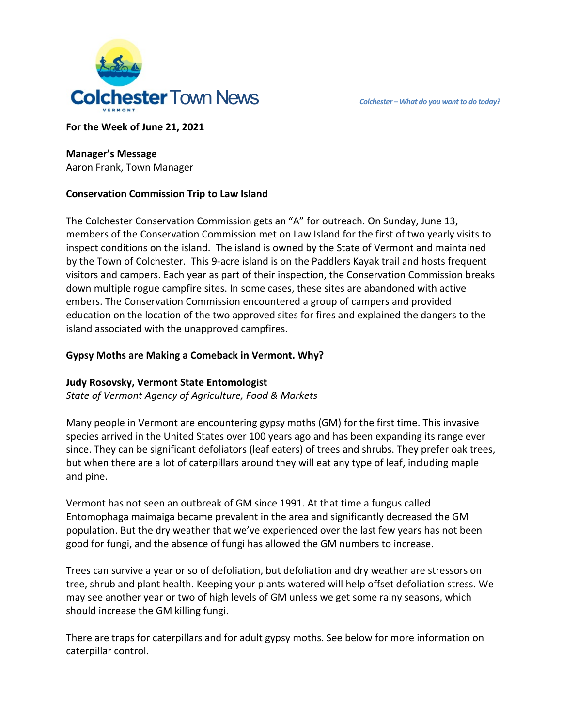

**For the Week of June 21, 2021**

# **Manager's Message**

Aaron Frank, Town Manager

# **Conservation Commission Trip to Law Island**

The Colchester Conservation Commission gets an "A" for outreach. On Sunday, June 13, members of the Conservation Commission met on Law Island for the first of two yearly visits to inspect conditions on the island. The island is owned by the State of Vermont and maintained by the Town of Colchester. This 9-acre island is on the Paddlers Kayak trail and hosts frequent visitors and campers. Each year as part of their inspection, the Conservation Commission breaks down multiple rogue campfire sites. In some cases, these sites are abandoned with active embers. The Conservation Commission encountered a group of campers and provided education on the location of the two approved sites for fires and explained the dangers to the island associated with the unapproved campfires.

# **Gypsy Moths are Making a Comeback in Vermont. Why?**

## **Judy Rosovsky, Vermont State Entomologist**

*State of Vermont Agency of Agriculture, Food & Markets*

Many people in Vermont are encountering gypsy moths (GM) for the first time. This invasive species arrived in the United States over 100 years ago and has been expanding its range ever since. They can be significant defoliators (leaf eaters) of trees and shrubs. They prefer oak trees, but when there are a lot of caterpillars around they will eat any type of leaf, including maple and pine.

Vermont has not seen an outbreak of GM since 1991. At that time a fungus called Entomophaga maimaiga became prevalent in the area and significantly decreased the GM population. But the dry weather that we've experienced over the last few years has not been good for fungi, and the absence of fungi has allowed the GM numbers to increase.

Trees can survive a year or so of defoliation, but defoliation and dry weather are stressors on tree, shrub and plant health. Keeping your plants watered will help offset defoliation stress. We may see another year or two of high levels of GM unless we get some rainy seasons, which should increase the GM killing fungi.

There are traps for caterpillars and for adult gypsy moths. See below for more information on caterpillar control.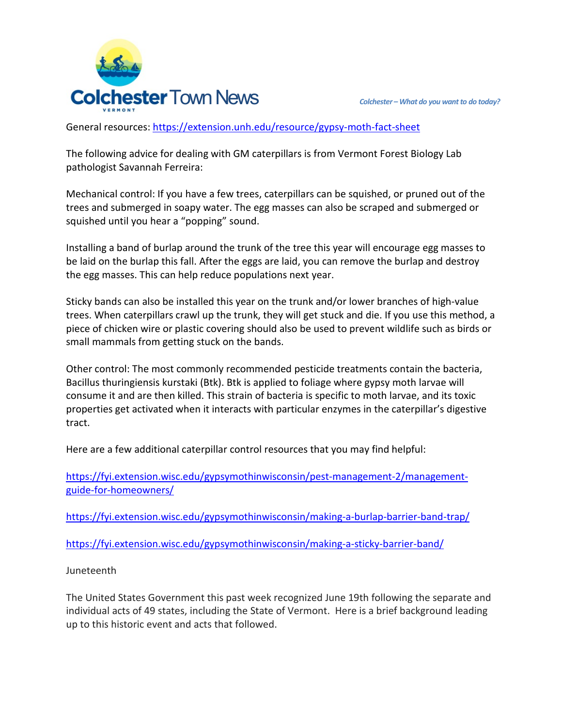

General resources: <https://extension.unh.edu/resource/gypsy-moth-fact-sheet>

The following advice for dealing with GM caterpillars is from Vermont Forest Biology Lab pathologist Savannah Ferreira:

Mechanical control: If you have a few trees, caterpillars can be squished, or pruned out of the trees and submerged in soapy water. The egg masses can also be scraped and submerged or squished until you hear a "popping" sound.

Installing a band of burlap around the trunk of the tree this year will encourage egg masses to be laid on the burlap this fall. After the eggs are laid, you can remove the burlap and destroy the egg masses. This can help reduce populations next year.

Sticky bands can also be installed this year on the trunk and/or lower branches of high-value trees. When caterpillars crawl up the trunk, they will get stuck and die. If you use this method, a piece of chicken wire or plastic covering should also be used to prevent wildlife such as birds or small mammals from getting stuck on the bands.

Other control: The most commonly recommended pesticide treatments contain the bacteria, Bacillus thuringiensis kurstaki (Btk). Btk is applied to foliage where gypsy moth larvae will consume it and are then killed. This strain of bacteria is specific to moth larvae, and its toxic properties get activated when it interacts with particular enzymes in the caterpillar's digestive tract.

Here are a few additional caterpillar control resources that you may find helpful:

[https://fyi.extension.wisc.edu/gypsymothinwisconsin/pest-management-2/management](https://fyi.extension.wisc.edu/gypsymothinwisconsin/pest-management-2/management-guide-for-homeowners/)[guide-for-homeowners/](https://fyi.extension.wisc.edu/gypsymothinwisconsin/pest-management-2/management-guide-for-homeowners/)

<https://fyi.extension.wisc.edu/gypsymothinwisconsin/making-a-burlap-barrier-band-trap/>

<https://fyi.extension.wisc.edu/gypsymothinwisconsin/making-a-sticky-barrier-band/>

## Juneteenth

The United States Government this past week recognized June 19th following the separate and individual acts of 49 states, including the State of Vermont. Here is a brief background leading up to this historic event and acts that followed.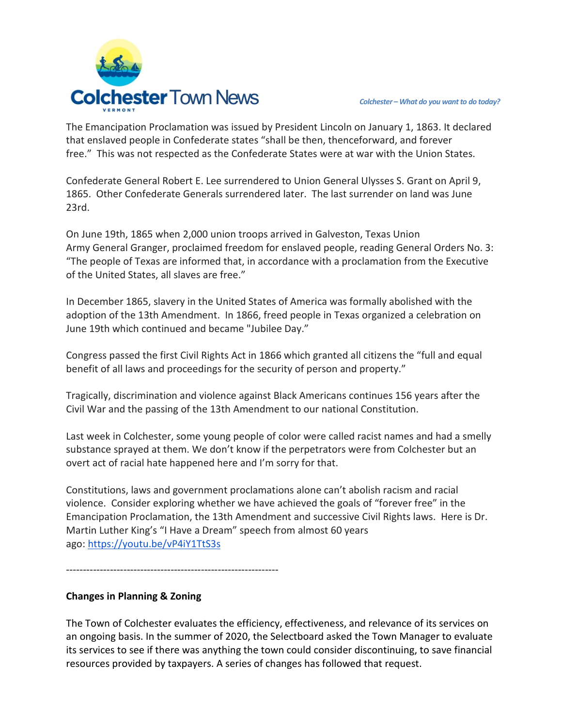

The Emancipation Proclamation was issued by President Lincoln on January 1, 1863. It declared that enslaved people in Confederate states "shall be then, thenceforward, and forever free." This was not respected as the Confederate States were at war with the Union States.

Confederate General Robert E. Lee surrendered to Union General [Ulysses S. Grant](https://en.m.wikipedia.org/wiki/Ulysses_S._Grant) on April 9, 1865. Other Confederate Generals surrendered later. The last surrender on land was June 23rd.

On June 19th, 1865 when 2,000 union troops arrived in Galveston, Texas [Union](https://en.m.wikipedia.org/wiki/Union_Army)  [Army](https://en.m.wikipedia.org/wiki/Union_Army) General [Granger,](https://en.m.wikipedia.org/wiki/Gordon_Granger) proclaimed freedom for enslaved people, reading General Orders No. 3: "The people of Texas are informed that, in accordance with a proclamation from the Executive of the United States, all slaves are free."

In December 1865, slavery in the United States of America was formally abolished with the adoption of the [13th Amendment.](https://www.history.com/topics/black-history/thirteenth-amendment) In 1866, freed people in Texas organized a celebration on June 19th which continued and became "Jubilee Day."

Congress passed the first Civil Rights Act in 1866 which granted all citizens the "full and equal benefit of all laws and proceedings for the security of person and property."

Tragically, discrimination and violence against Black Americans continues 156 years after the Civil War and the passing of the 13th Amendment to our national Constitution.

Last week in Colchester, some young people of color were called racist names and had a smelly substance sprayed at them. We don't know if the perpetrators were from Colchester but an overt act of racial hate happened here and I'm sorry for that.

Constitutions, laws and government proclamations alone can't abolish racism and racial violence. Consider exploring whether we have achieved the goals of "forever free" in the Emancipation Proclamation, the 13th Amendment and successive Civil Rights laws. Here is Dr. Martin Luther King's "I Have a Dream" speech from almost 60 years ago: <https://youtu.be/vP4iY1TtS3s>

---------------------------------------------------------------

## **Changes in Planning & Zoning**

The Town of Colchester evaluates the efficiency, effectiveness, and relevance of its services on an ongoing basis. In the summer of 2020, the Selectboard asked the Town Manager to evaluate its services to see if there was anything the town could consider discontinuing, to save financial resources provided by taxpayers. A series of changes has followed that request.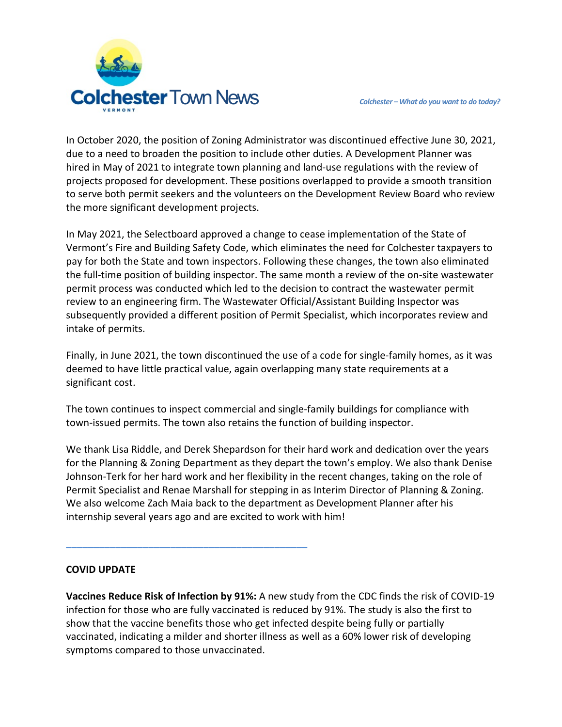

In October 2020, the position of Zoning Administrator was discontinued effective June 30, 2021, due to a need to broaden the position to include other duties. A Development Planner was hired in May of 2021 to integrate town planning and land-use regulations with the review of projects proposed for development. These positions overlapped to provide a smooth transition to serve both permit seekers and the volunteers on the Development Review Board who review the more significant development projects.

In May 2021, the Selectboard approved a change to cease implementation of the State of Vermont's Fire and Building Safety Code, which eliminates the need for Colchester taxpayers to pay for both the State and town inspectors. Following these changes, the town also eliminated the full-time position of building inspector. The same month a review of the on-site wastewater permit process was conducted which led to the decision to contract the wastewater permit review to an engineering firm. The Wastewater Official/Assistant Building Inspector was subsequently provided a different position of Permit Specialist, which incorporates review and intake of permits.

Finally, in June 2021, the town discontinued the use of a code for single-family homes, as it was deemed to have little practical value, again overlapping many state requirements at a significant cost.

The town continues to inspect commercial and single-family buildings for compliance with town-issued permits. The town also retains the function of building inspector.

We thank Lisa Riddle, and Derek Shepardson for their hard work and dedication over the years for the Planning & Zoning Department as they depart the town's employ. We also thank Denise Johnson-Terk for her hard work and her flexibility in the recent changes, taking on the role of Permit Specialist and Renae Marshall for stepping in as Interim Director of Planning & Zoning. We also welcome Zach Maia back to the department as Development Planner after his internship several years ago and are excited to work with him!

## **COVID UPDATE**

**\_\_\_\_\_\_\_\_\_\_\_\_\_\_\_\_\_\_\_\_\_\_\_\_\_\_\_\_\_\_\_\_\_\_\_\_\_\_\_\_\_\_\_\_**

**Vaccines Reduce Risk of Infection by 91%:** A new study from the CDC finds the risk of COVID-19 infection for those who are fully vaccinated is reduced by 91%. The study is also the first to show that the vaccine benefits those who get infected despite being fully or partially vaccinated, indicating a milder and shorter illness as well as a 60% lower risk of developing symptoms compared to those unvaccinated.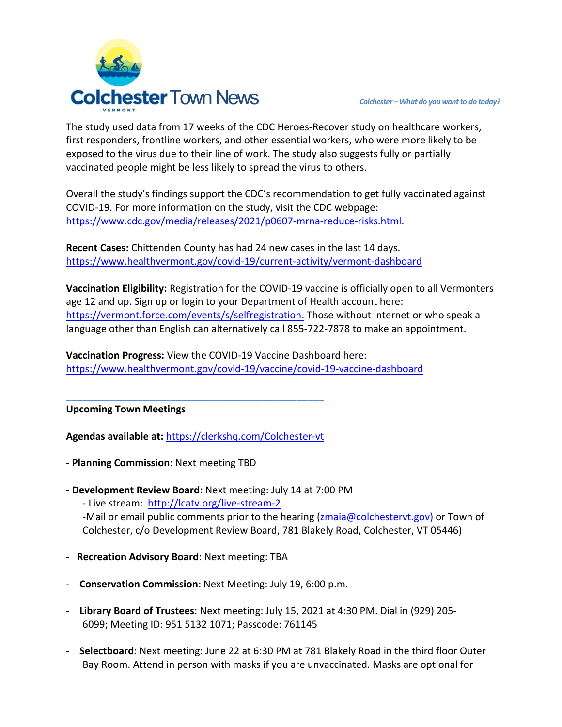

The study used data from 17 weeks of the CDC Heroes-Recover study on healthcare workers, first responders, frontline workers, and other essential workers, who were more likely to be exposed to the virus due to their line of work. The study also suggests fully or partially vaccinated people might be less likely to spread the virus to others.

Overall the study's findings support the CDC's recommendation to get fully vaccinated against COVID-19. For more information on the study, visit the CDC webpage: [https://www.cdc.gov/media/releases/2021/p0607-mrna-reduce-risks.html.](https://www.cdc.gov/media/releases/2021/p0607-mrna-reduce-risks.html)

**Recent Cases:** Chittenden County has had 24 new cases in the last 14 days. <https://www.healthvermont.gov/covid-19/current-activity/vermont-dashboard>

**Vaccination Eligibility:** Registration for the COVID-19 vaccine is officially open to all Vermonters age 12 and up. Sign up or login to your Department of Health account here: [https://vermont.force.com/events/s/selfregistration.](https://vermont.force.com/events/s/selfregistration) Those without internet or who speak a language other than English can alternatively call 855-722-7878 to make an appointment.

**Vaccination Progress:** View the COVID-19 Vaccine Dashboard here: <https://www.healthvermont.gov/covid-19/vaccine/covid-19-vaccine-dashboard>

**Upcoming Town Meetings** 

**Agendas available at:** <https://clerkshq.com/Colchester-vt>

**\_\_\_\_\_\_\_\_\_\_\_\_\_\_\_\_\_\_\_\_\_\_\_\_\_\_\_\_\_\_\_\_\_\_\_\_\_\_\_\_\_\_\_\_\_\_\_**

- **Planning Commission**: Next meeting TBD
- **Development Review Board:** Next meeting: July 14 at 7:00 PM - Live stream: <http://lcatv.org/live-stream-2> -Mail or email public comments prior to the hearing [\(zmaia@colchestervt.gov\)](mailto:zmaia@colchestervt.gov) or Town of
	- Colchester, c/o Development Review Board, 781 Blakely Road, Colchester, VT 05446)
- **Recreation Advisory Board**: Next meeting: TBA
- **Conservation Commission**: Next Meeting: July 19, 6:00 p.m.
- **Library Board of Trustees**: Next meeting: July 15, 2021 at 4:30 PM. Dial in (929) 205- 6099; Meeting ID: 951 5132 1071; Passcode: 761145
- **Selectboard**: Next meeting: June 22 at 6:30 PM at 781 Blakely Road in the third floor Outer Bay Room. Attend in person with masks if you are unvaccinated. Masks are optional for